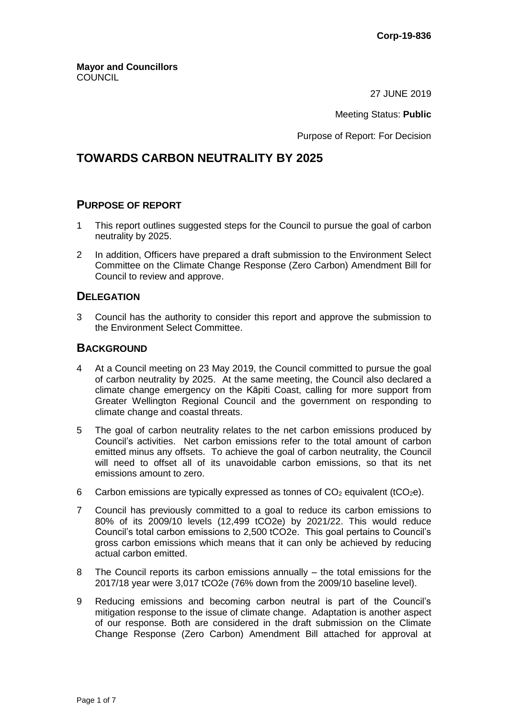27 JUNE 2019

Meeting Status: **Public**

Purpose of Report: For Decision

# **TOWARDS CARBON NEUTRALITY BY 2025**

### **PURPOSE OF REPORT**

- 1 This report outlines suggested steps for the Council to pursue the goal of carbon neutrality by 2025.
- 2 In addition, Officers have prepared a draft submission to the Environment Select Committee on the Climate Change Response (Zero Carbon) Amendment Bill for Council to review and approve.

### **DELEGATION**

3 Council has the authority to consider this report and approve the submission to the Environment Select Committee.

### **BACKGROUND**

- 4 At a Council meeting on 23 May 2019, the Council committed to pursue the goal of carbon neutrality by 2025. At the same meeting, the Council also declared a climate change emergency on the Kāpiti Coast, calling for more support from Greater Wellington Regional Council and the government on responding to climate change and coastal threats.
- 5 The goal of carbon neutrality relates to the net carbon emissions produced by Council's activities. Net carbon emissions refer to the total amount of carbon emitted minus any offsets. To achieve the goal of carbon neutrality, the Council will need to offset all of its unavoidable carbon emissions, so that its net emissions amount to zero.
- 6 Carbon emissions are typically expressed as tonnes of  $CO<sub>2</sub>$  equivalent (tCO<sub>2</sub>e).
- 7 Council has previously committed to a goal to reduce its carbon emissions to 80% of its 2009/10 levels (12,499 tCO2e) by 2021/22. This would reduce Council's total carbon emissions to 2,500 tCO2e. This goal pertains to Council's gross carbon emissions which means that it can only be achieved by reducing actual carbon emitted.
- 8 The Council reports its carbon emissions annually the total emissions for the 2017/18 year were 3,017 tCO2e (76% down from the 2009/10 baseline level).
- 9 Reducing emissions and becoming carbon neutral is part of the Council's mitigation response to the issue of climate change. Adaptation is another aspect of our response. Both are considered in the draft submission on the Climate Change Response (Zero Carbon) Amendment Bill attached for approval at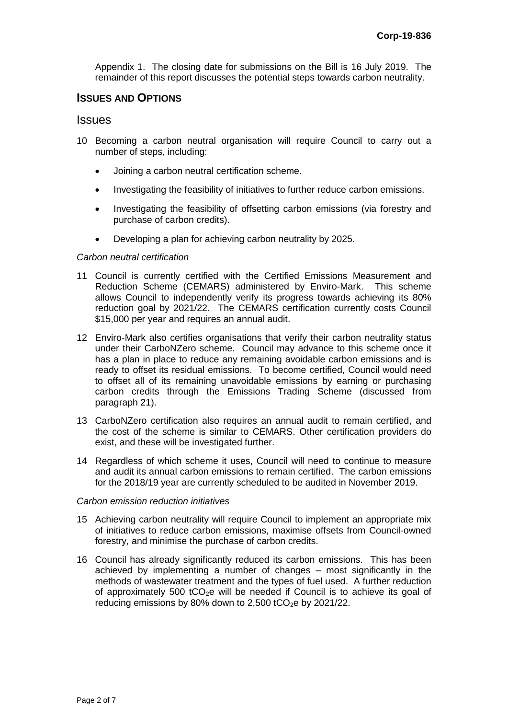Appendix 1. The closing date for submissions on the Bill is 16 July 2019. The remainder of this report discusses the potential steps towards carbon neutrality.

# **ISSUES AND OPTIONS**

#### **Issues**

- 10 Becoming a carbon neutral organisation will require Council to carry out a number of steps, including:
	- Joining a carbon neutral certification scheme.
	- Investigating the feasibility of initiatives to further reduce carbon emissions.
	- Investigating the feasibility of offsetting carbon emissions (via forestry and purchase of carbon credits).
	- Developing a plan for achieving carbon neutrality by 2025.

#### *Carbon neutral certification*

- 11 Council is currently certified with the Certified Emissions Measurement and Reduction Scheme (CEMARS) administered by Enviro-Mark. This scheme allows Council to independently verify its progress towards achieving its 80% reduction goal by 2021/22. The CEMARS certification currently costs Council \$15,000 per year and requires an annual audit.
- 12 Enviro-Mark also certifies organisations that verify their carbon neutrality status under their CarboNZero scheme. Council may advance to this scheme once it has a plan in place to reduce any remaining avoidable carbon emissions and is ready to offset its residual emissions. To become certified, Council would need to offset all of its remaining unavoidable emissions by earning or purchasing carbon credits through the Emissions Trading Scheme (discussed from paragraph 21).
- 13 CarboNZero certification also requires an annual audit to remain certified, and the cost of the scheme is similar to CEMARS. Other certification providers do exist, and these will be investigated further.
- 14 Regardless of which scheme it uses, Council will need to continue to measure and audit its annual carbon emissions to remain certified. The carbon emissions for the 2018/19 year are currently scheduled to be audited in November 2019.

#### *Carbon emission reduction initiatives*

- 15 Achieving carbon neutrality will require Council to implement an appropriate mix of initiatives to reduce carbon emissions, maximise offsets from Council-owned forestry, and minimise the purchase of carbon credits.
- 16 Council has already significantly reduced its carbon emissions. This has been achieved by implementing a number of changes – most significantly in the methods of wastewater treatment and the types of fuel used. A further reduction of approximately 500  $tCO<sub>2</sub>e$  will be needed if Council is to achieve its goal of reducing emissions by 80% down to 2,500 tCO<sub>2</sub>e by 2021/22.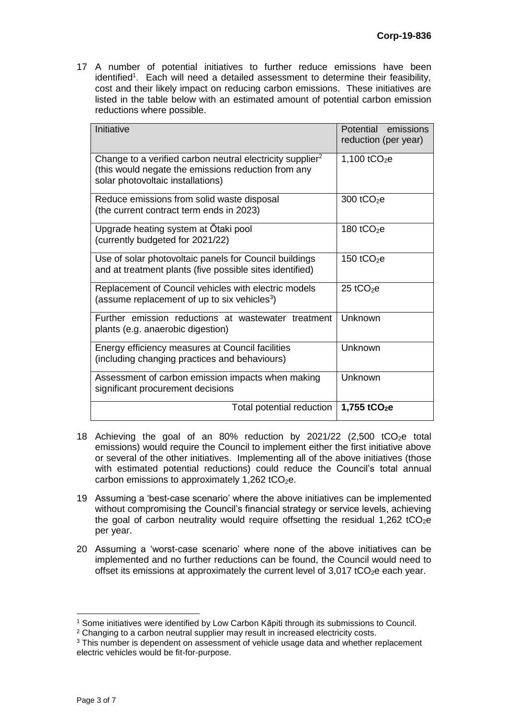17 A number of potential initiatives to further reduce emissions have been identified<sup>1</sup>. Each will need a detailed assessment to determine their feasibility, cost and their likely impact on reducing carbon emissions. These initiatives are listed in the table below with an estimated amount of potential carbon emission reductions where possible.

| Initiative                                                                                                                                                        | Potential emissions<br>reduction (per year) |
|-------------------------------------------------------------------------------------------------------------------------------------------------------------------|---------------------------------------------|
| Change to a verified carbon neutral electricity supplier <sup>2</sup><br>(this would negate the emissions reduction from any<br>solar photovoltaic installations) | 1,100 $tCO2e$                               |
| Reduce emissions from solid waste disposal<br>(the current contract term ends in 2023)                                                                            | 300 $tCO2e$                                 |
| Upgrade heating system at Otaki pool<br>(currently budgeted for 2021/22)                                                                                          | 180 $tCO2e$                                 |
| Use of solar photovoltaic panels for Council buildings<br>and at treatment plants (five possible sites identified)                                                | 150 $tCO2e$                                 |
| Replacement of Council vehicles with electric models<br>(assume replacement of up to six vehicles <sup>3</sup> )                                                  | 25 tCO $2$ e                                |
| Further emission reductions at wastewater treatment<br>plants (e.g. anaerobic digestion)                                                                          | Unknown                                     |
| Energy efficiency measures at Council facilities<br>(including changing practices and behaviours)                                                                 | Unknown                                     |
| Assessment of carbon emission impacts when making<br>significant procurement decisions                                                                            | Unknown                                     |
| Total potential reduction                                                                                                                                         | 1,755 tCO <sub>2</sub> e                    |

- 18 Achieving the goal of an 80% reduction by 2021/22  $(2,500 \text{ tCO}_2e \text{ total})$ emissions) would require the Council to implement either the first initiative above or several of the other initiatives. Implementing all of the above initiatives (those with estimated potential reductions) could reduce the Council's total annual carbon emissions to approximately  $1,262$  tCO<sub>2</sub>e.
- 19 Assuming a 'best-case scenario' where the above initiatives can be implemented without compromising the Council's financial strategy or service levels, achieving the goal of carbon neutrality would require offsetting the residual 1,262 tCO<sub>2</sub>e per year.
- 20 Assuming a 'worst-case scenario' where none of the above initiatives can be implemented and no further reductions can be found, the Council would need to offset its emissions at approximately the current level of  $3,017$  tCO<sub>2</sub>e each year.

<sup>1</sup> Some initiatives were identified by Low Carbon Kāpiti through its submissions to Council.

<sup>2</sup> Changing to a carbon neutral supplier may result in increased electricity costs.

<sup>&</sup>lt;sup>3</sup> This number is dependent on assessment of vehicle usage data and whether replacement electric vehicles would be fit-for-purpose.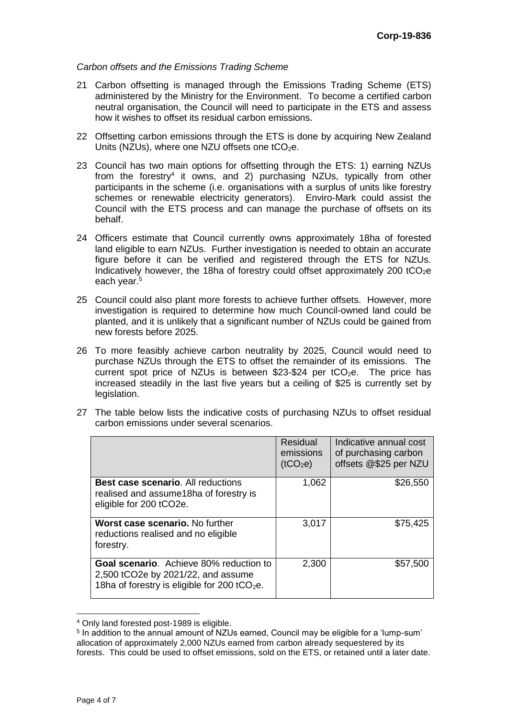#### *Carbon offsets and the Emissions Trading Scheme*

- 21 Carbon offsetting is managed through the Emissions Trading Scheme (ETS) administered by the Ministry for the Environment. To become a certified carbon neutral organisation, the Council will need to participate in the ETS and assess how it wishes to offset its residual carbon emissions.
- 22 Offsetting carbon emissions through the ETS is done by acquiring New Zealand Units (NZUs), where one NZU offsets one  $tCO<sub>2</sub>e$ .
- 23 Council has two main options for offsetting through the ETS: 1) earning NZUs from the forestry<sup>4</sup> it owns, and 2) purchasing NZUs, typically from other participants in the scheme (i.e. organisations with a surplus of units like forestry schemes or renewable electricity generators). Enviro-Mark could assist the Council with the ETS process and can manage the purchase of offsets on its behalf.
- 24 Officers estimate that Council currently owns approximately 18ha of forested land eligible to earn NZUs. Further investigation is needed to obtain an accurate figure before it can be verified and registered through the ETS for NZUs. Indicatively however, the 18ha of forestry could offset approximately 200 tCO<sub>2</sub>e each year. 5
- 25 Council could also plant more forests to achieve further offsets. However, more investigation is required to determine how much Council-owned land could be planted, and it is unlikely that a significant number of NZUs could be gained from new forests before 2025.
- 26 To more feasibly achieve carbon neutrality by 2025, Council would need to purchase NZUs through the ETS to offset the remainder of its emissions. The current spot price of NZUs is between \$23-\$24 per  $tCO_2e$ . The price has increased steadily in the last five years but a ceiling of \$25 is currently set by legislation.
- 27 The table below lists the indicative costs of purchasing NZUs to offset residual carbon emissions under several scenarios.

|                                                                                                                                           | <b>Residual</b><br>emissions<br>(tCO <sub>2</sub> e) | Indicative annual cost<br>of purchasing carbon<br>offsets @\$25 per NZU |
|-------------------------------------------------------------------------------------------------------------------------------------------|------------------------------------------------------|-------------------------------------------------------------------------|
| <b>Best case scenario.</b> All reductions<br>realised and assume 18ha of forestry is<br>eligible for 200 tCO2e.                           | 1,062                                                | \$26,550                                                                |
| Worst case scenario. No further<br>reductions realised and no eligible<br>forestry.                                                       | 3,017                                                | \$75,425                                                                |
| Goal scenario. Achieve 80% reduction to<br>2,500 tCO2e by 2021/22, and assume<br>18ha of forestry is eligible for 200 tCO <sub>2</sub> e. | 2,300                                                | \$57,500                                                                |

<sup>4</sup> Only land forested post-1989 is eligible.

<sup>&</sup>lt;sup>5</sup> In addition to the annual amount of NZUs earned, Council may be eligible for a 'lump-sum' allocation of approximately 2,000 NZUs earned from carbon already sequestered by its forests. This could be used to offset emissions, sold on the ETS, or retained until a later date.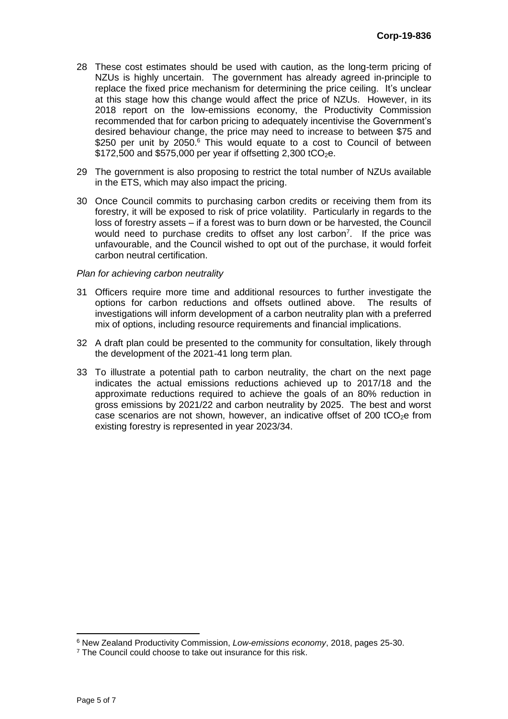- 28 These cost estimates should be used with caution, as the long-term pricing of NZUs is highly uncertain. The government has already agreed in-principle to replace the fixed price mechanism for determining the price ceiling. It's unclear at this stage how this change would affect the price of NZUs. However, in its 2018 report on the low-emissions economy, the Productivity Commission recommended that for carbon pricing to adequately incentivise the Government's desired behaviour change, the price may need to increase to between \$75 and \$250 per unit by 2050.<sup>6</sup> This would equate to a cost to Council of between  $$172,500$  and  $$575,000$  per year if offsetting 2,300 tCO<sub>2</sub>e.
- 29 The government is also proposing to restrict the total number of NZUs available in the ETS, which may also impact the pricing.
- 30 Once Council commits to purchasing carbon credits or receiving them from its forestry, it will be exposed to risk of price volatility. Particularly in regards to the loss of forestry assets – if a forest was to burn down or be harvested, the Council would need to purchase credits to offset any lost carbon<sup>7</sup>. If the price was unfavourable, and the Council wished to opt out of the purchase, it would forfeit carbon neutral certification.

#### *Plan for achieving carbon neutrality*

- 31 Officers require more time and additional resources to further investigate the options for carbon reductions and offsets outlined above. The results of options for carbon reductions and offsets outlined above. investigations will inform development of a carbon neutrality plan with a preferred mix of options, including resource requirements and financial implications.
- 32 A draft plan could be presented to the community for consultation, likely through the development of the 2021-41 long term plan.
- 33 To illustrate a potential path to carbon neutrality, the chart on the next page indicates the actual emissions reductions achieved up to 2017/18 and the approximate reductions required to achieve the goals of an 80% reduction in gross emissions by 2021/22 and carbon neutrality by 2025. The best and worst case scenarios are not shown, however, an indicative offset of 200 tCO<sub>2</sub>e from existing forestry is represented in year 2023/34.

 $\overline{a}$ 

<sup>6</sup> New Zealand Productivity Commission, *Low-emissions economy*, 2018, pages 25-30.

<sup>&</sup>lt;sup>7</sup> The Council could choose to take out insurance for this risk.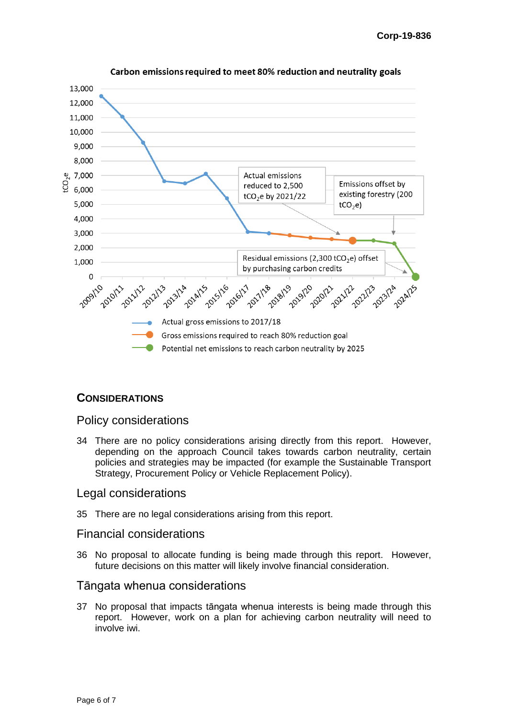

#### Carbon emissions required to meet 80% reduction and neutrality goals

### **CONSIDERATIONS**

## Policy considerations

34 There are no policy considerations arising directly from this report. However, depending on the approach Council takes towards carbon neutrality, certain policies and strategies may be impacted (for example the Sustainable Transport Strategy, Procurement Policy or Vehicle Replacement Policy).

### Legal considerations

35 There are no legal considerations arising from this report.

#### Financial considerations

36 No proposal to allocate funding is being made through this report. However, future decisions on this matter will likely involve financial consideration.

### Tāngata whenua considerations

37 No proposal that impacts tāngata whenua interests is being made through this report. However, work on a plan for achieving carbon neutrality will need to involve iwi.